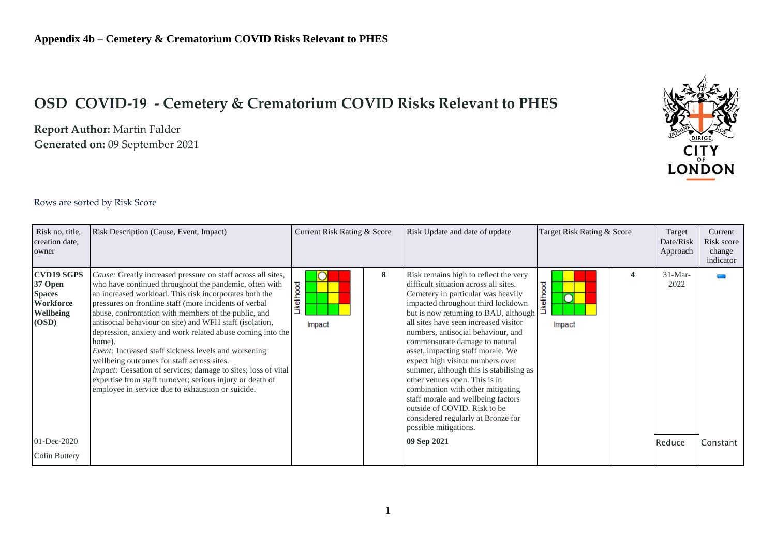## **OSD COVID-19 - Cemetery & Crematorium COVID Risks Relevant to PHES**

**Report Author:** Martin Falder **Generated on:** 09 September 2021



## Rows are sorted by Risk Score

| Risk no, title,<br>creation date,<br>owner                                              | Risk Description (Cause, Event, Impact)                                                                                                                                                                                                                                                                                                                                                                                                                                                                                                                                                                                                                                                                                               | Current Risk Rating & Score |   | Risk Update and date of update                                                                                                                                                                                                                                                                                                                                                                                                                                                                                                                                                                                                                      | Target Risk Rating & Score      | Target<br>Date/Risk<br>Approach | Current<br>Risk score<br>change<br>indicator |
|-----------------------------------------------------------------------------------------|---------------------------------------------------------------------------------------------------------------------------------------------------------------------------------------------------------------------------------------------------------------------------------------------------------------------------------------------------------------------------------------------------------------------------------------------------------------------------------------------------------------------------------------------------------------------------------------------------------------------------------------------------------------------------------------------------------------------------------------|-----------------------------|---|-----------------------------------------------------------------------------------------------------------------------------------------------------------------------------------------------------------------------------------------------------------------------------------------------------------------------------------------------------------------------------------------------------------------------------------------------------------------------------------------------------------------------------------------------------------------------------------------------------------------------------------------------------|---------------------------------|---------------------------------|----------------------------------------------|
| <b>CVD19 SGPS</b><br>37 Open<br><b>Spaces</b><br>Workforce<br><b>Wellbeing</b><br>(OSD) | Cause: Greatly increased pressure on staff across all sites,<br>who have continued throughout the pandemic, often with<br>an increased workload. This risk incorporates both the<br>pressures on frontline staff (more incidents of verbal<br>abuse, confrontation with members of the public, and<br>antisocial behaviour on site) and WFH staff (isolation,<br>depression, anxiety and work related abuse coming into the<br>home).<br><i>Event:</i> Increased staff sickness levels and worsening<br>wellbeing outcomes for staff across sites.<br>Impact: Cessation of services; damage to sites; loss of vital<br>expertise from staff turnover; serious injury or death of<br>employee in service due to exhaustion or suicide. | Likelihood<br>Impact        | 8 | Risk remains high to reflect the very<br>difficult situation across all sites.<br>Cemetery in particular was heavily<br>impacted throughout third lockdown<br>but is now returning to BAU, although<br>all sites have seen increased visitor<br>numbers, antisocial behaviour, and<br>commensurate damage to natural<br>asset, impacting staff morale. We<br>expect high visitor numbers over<br>summer, although this is stabilising as<br>other venues open. This is in<br>combination with other mitigating<br>staff morale and wellbeing factors<br>outside of COVID. Risk to be<br>considered regularly at Bronze for<br>possible mitigations. | <b>ikelihood</b><br>O<br>Impact | $31-Mar-$<br>2022               |                                              |
| $01 - Dec-2020$                                                                         |                                                                                                                                                                                                                                                                                                                                                                                                                                                                                                                                                                                                                                                                                                                                       |                             |   | 09 Sep 2021                                                                                                                                                                                                                                                                                                                                                                                                                                                                                                                                                                                                                                         |                                 | Reduce                          | Constant                                     |
| <b>Colin Buttery</b>                                                                    |                                                                                                                                                                                                                                                                                                                                                                                                                                                                                                                                                                                                                                                                                                                                       |                             |   |                                                                                                                                                                                                                                                                                                                                                                                                                                                                                                                                                                                                                                                     |                                 |                                 |                                              |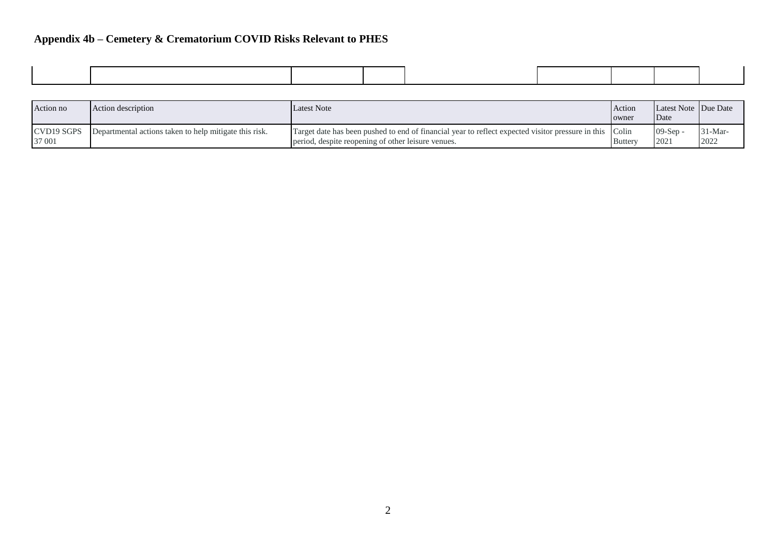## **Appendix 4b – Cemetery & Crematorium COVID Risks Relevant to PHES**

| Action no            | Action description                                     | <b>Latest Note</b>                                                                                                                                            | Action<br>owner | Latest Note Due Date<br>Date |                   |
|----------------------|--------------------------------------------------------|---------------------------------------------------------------------------------------------------------------------------------------------------------------|-----------------|------------------------------|-------------------|
| CVD19 SGPS<br>37 001 | Departmental actions taken to help mitigate this risk. | Target date has been pushed to end of financial year to reflect expected visitor pressure in this Colin<br>period, despite reopening of other leisure venues. | <b>Buttery</b>  | $09-Sen$<br>2021             | $31-Mar-$<br>2022 |